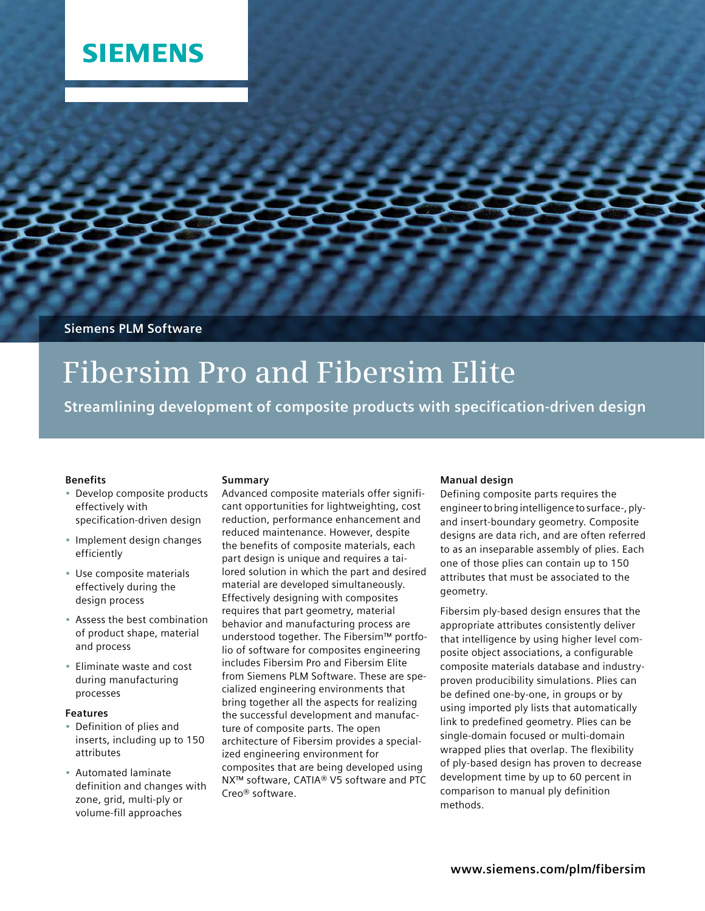## **SIEMENS**

**Siemens PLM Software**

# **Fibersim Pro and Fibersim Elite**

**Streamlining development of composite products with specification-driven design**

### **Benefits**

- Develop composite products effectively with specification-driven design
- Implement design changes efficiently
- Use composite materials effectively during the design process
- Assess the best combination of product shape, material and process
- Eliminate waste and cost during manufacturing processes

### **Features**

- Definition of plies and inserts, including up to 150 attributes
- Automated laminate definition and changes with zone, grid, multi-ply or volume-fill approaches

### **Summary**

Advanced composite materials offer significant opportunities for lightweighting, cost reduction, performance enhancement and reduced maintenance. However, despite the benefits of composite materials, each part design is unique and requires a tailored solution in which the part and desired material are developed simultaneously. Effectively designing with composites requires that part geometry, material behavior and manufacturing process are understood together. The Fibersim™ portfolio of software for composites engineering includes Fibersim Pro and Fibersim Elite from Siemens PLM Software. These are specialized engineering environments that bring together all the aspects for realizing the successful development and manufacture of composite parts. The open architecture of Fibersim provides a specialized engineering environment for composites that are being developed using NX™ software, CATIA® V5 software and PTC Creo® software.

### **Manual design**

Defining composite parts requires the engineer to bring intelligence to surface-, plyand insert-boundary geometry. Composite designs are data rich, and are often referred to as an inseparable assembly of plies. Each one of those plies can contain up to 150 attributes that must be associated to the geometry.

Fibersim ply-based design ensures that the appropriate attributes consistently deliver that intelligence by using higher level composite object associations, a configurable composite materials database and industryproven producibility simulations. Plies can be defined one-by-one, in groups or by using imported ply lists that automatically link to predefined geometry. Plies can be single-domain focused or multi-domain wrapped plies that overlap. The flexibility of ply-based design has proven to decrease development time by up to 60 percent in comparison to manual ply definition methods.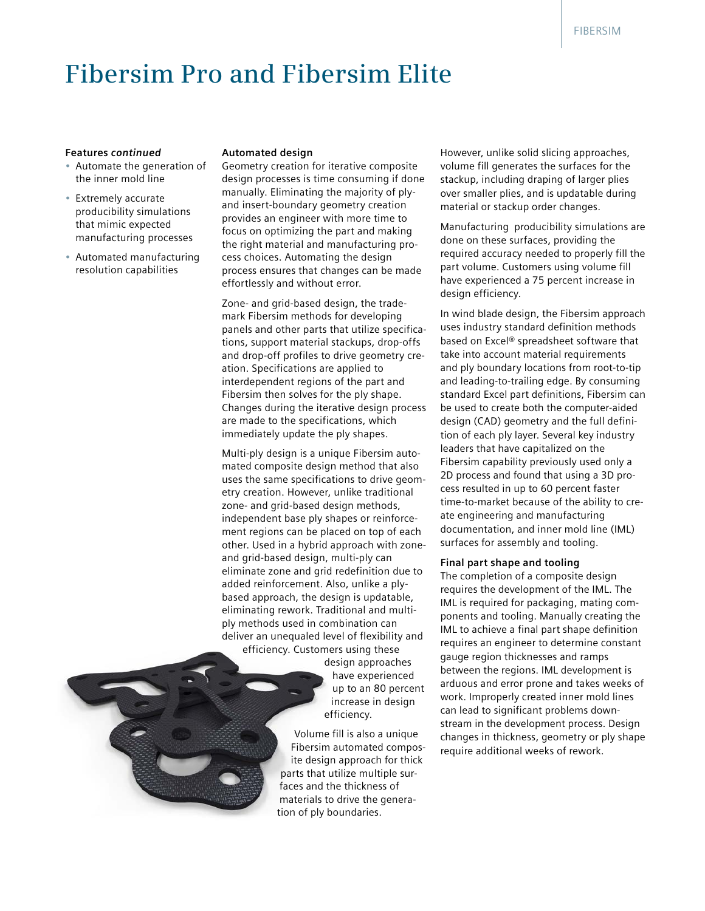## **Fibersim Pro and Fibersim Elite**

#### **Features** *continued*

- Automate the generation of the inner mold line
- Extremely accurate producibility simulations that mimic expected manufacturing processes
- Automated manufacturing resolution capabilities

#### **Automated design**

Geometry creation for iterative composite design processes is time consuming if done manually. Eliminating the majority of plyand insert-boundary geometry creation provides an engineer with more time to focus on optimizing the part and making the right material and manufacturing process choices. Automating the design process ensures that changes can be made effortlessly and without error.

Zone- and grid-based design, the trademark Fibersim methods for developing panels and other parts that utilize specifications, support material stackups, drop-offs and drop-off profiles to drive geometry creation. Specifications are applied to interdependent regions of the part and Fibersim then solves for the ply shape. Changes during the iterative design process are made to the specifications, which immediately update the ply shapes.

Multi-ply design is a unique Fibersim automated composite design method that also uses the same specifications to drive geometry creation. However, unlike traditional zone- and grid-based design methods, independent base ply shapes or reinforcement regions can be placed on top of each other. Used in a hybrid approach with zoneand grid-based design, multi-ply can eliminate zone and grid redefinition due to added reinforcement. Also, unlike a plybased approach, the design is updatable, eliminating rework. Traditional and multiply methods used in combination can deliver an unequaled level of flexibility and efficiency. Customers using these

> design approaches have experienced up to an 80 percent increase in design efficiency.

Volume fill is also a unique Fibersim automated composite design approach for thick parts that utilize multiple surfaces and the thickness of materials to drive the generation of ply boundaries.

However, unlike solid slicing approaches, volume fill generates the surfaces for the stackup, including draping of larger plies over smaller plies, and is updatable during material or stackup order changes.

Manufacturing producibility simulations are done on these surfaces, providing the required accuracy needed to properly fill the part volume. Customers using volume fill have experienced a 75 percent increase in design efficiency.

In wind blade design, the Fibersim approach uses industry standard definition methods based on Excel® spreadsheet software that take into account material requirements and ply boundary locations from root-to-tip and leading-to-trailing edge. By consuming standard Excel part definitions, Fibersim can be used to create both the computer-aided design (CAD) geometry and the full definition of each ply layer. Several key industry leaders that have capitalized on the Fibersim capability previously used only a 2D process and found that using a 3D process resulted in up to 60 percent faster time-to-market because of the ability to create engineering and manufacturing documentation, and inner mold line (IML) surfaces for assembly and tooling.

#### **Final part shape and tooling**

The completion of a composite design requires the development of the IML. The IML is required for packaging, mating components and tooling. Manually creating the IML to achieve a final part shape definition requires an engineer to determine constant gauge region thicknesses and ramps between the regions. IML development is arduous and error prone and takes weeks of work. Improperly created inner mold lines can lead to significant problems downstream in the development process. Design changes in thickness, geometry or ply shape require additional weeks of rework.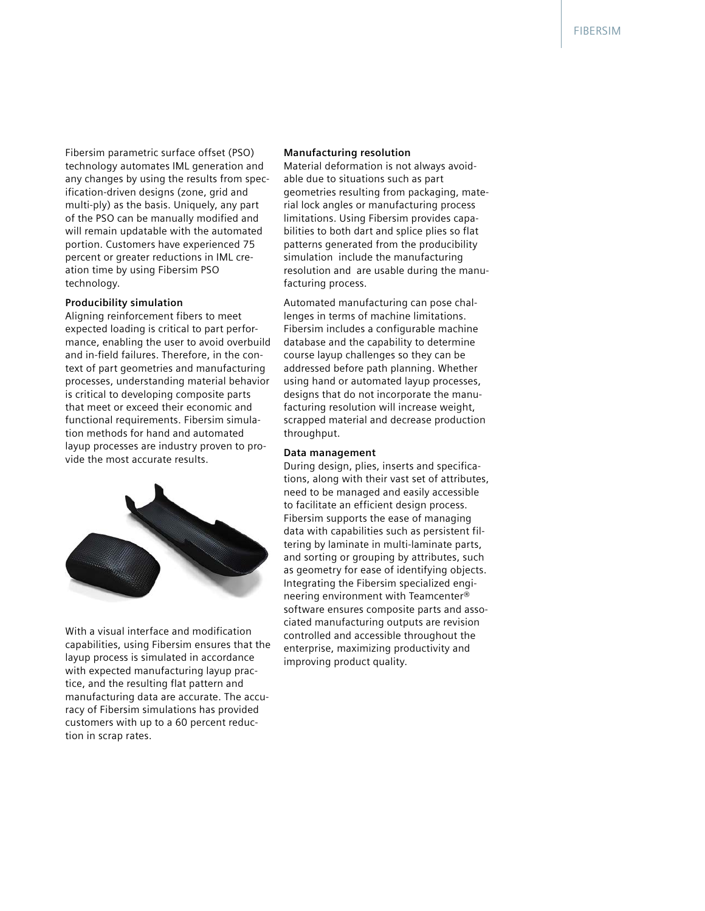Fibersim parametric surface offset (PSO) technology automates IML generation and any changes by using the results from specification-driven designs (zone, grid and multi-ply) as the basis. Uniquely, any part of the PSO can be manually modified and will remain updatable with the automated portion. Customers have experienced 75 percent or greater reductions in IML creation time by using Fibersim PSO technology.

#### **Producibility simulation**

Aligning reinforcement fibers to meet expected loading is critical to part performance, enabling the user to avoid overbuild and in-field failures. Therefore, in the context of part geometries and manufacturing processes, understanding material behavior is critical to developing composite parts that meet or exceed their economic and functional requirements. Fibersim simulation methods for hand and automated layup processes are industry proven to provide the most accurate results.



With a visual interface and modification capabilities, using Fibersim ensures that the layup process is simulated in accordance with expected manufacturing layup practice, and the resulting flat pattern and manufacturing data are accurate. The accuracy of Fibersim simulations has provided customers with up to a 60 percent reduction in scrap rates.

#### **Manufacturing resolution**

Material deformation is not always avoidable due to situations such as part geometries resulting from packaging, material lock angles or manufacturing process limitations. Using Fibersim provides capabilities to both dart and splice plies so flat patterns generated from the producibility simulation include the manufacturing resolution and are usable during the manufacturing process.

Automated manufacturing can pose challenges in terms of machine limitations. Fibersim includes a configurable machine database and the capability to determine course layup challenges so they can be addressed before path planning. Whether using hand or automated layup processes, designs that do not incorporate the manufacturing resolution will increase weight, scrapped material and decrease production throughput.

#### **Data management**

During design, plies, inserts and specifications, along with their vast set of attributes, need to be managed and easily accessible to facilitate an efficient design process. Fibersim supports the ease of managing data with capabilities such as persistent filtering by laminate in multi-laminate parts, and sorting or grouping by attributes, such as geometry for ease of identifying objects. Integrating the Fibersim specialized engineering environment with Teamcenter® software ensures composite parts and associated manufacturing outputs are revision controlled and accessible throughout the enterprise, maximizing productivity and improving product quality.